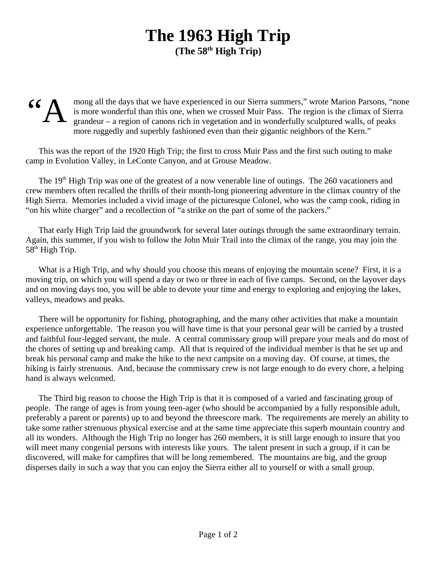## **The 1963 High Trip (The 58th High Trip)**

## "A mong all the days that we have experienced in our Sierra summers," wrote Marion Parsons, "none is more wonderful than this one, when we crossed Muir Pass. The region is the climax of Sierra grandeur – a region of canons rich in vegetation and in wonderfully sculptured walls, of peaks more ruggedly and superbly fashioned even than their gigantic neighbors of the Kern."

This was the report of the 1920 High Trip; the first to cross Muir Pass and the first such outing to make camp in Evolution Valley, in LeConte Canyon, and at Grouse Meadow.

The 19<sup>th</sup> High Trip was one of the greatest of a now venerable line of outings. The 260 vacationers and crew members often recalled the thrills of their month-long pioneering adventure in the climax country of the High Sierra. Memories included a vivid image of the picturesque Colonel, who was the camp cook, riding in "on his white charger" and a recollection of "a strike on the part of some of the packers."

That early High Trip laid the groundwork for several later outings through the same extraordinary terrain. Again, this summer, if you wish to follow the John Muir Trail into the climax of the range, you may join the  $58<sup>th</sup>$  High Trip.

What is a High Trip, and why should you choose this means of enjoying the mountain scene? First, it is a moving trip, on which you will spend a day or two or three in each of five camps. Second, on the layover days and on moving days too, you will be able to devote your time and energy to exploring and enjoying the lakes, valleys, meadows and peaks.

There will be opportunity for fishing, photographing, and the many other activities that make a mountain experience unforgettable. The reason you will have time is that your personal gear will be carried by a trusted and faithful four-legged servant, the mule. A central commissary group will prepare your meals and do most of the chores of setting up and breaking camp. All that is required of the individual member is that he set up and break his personal camp and make the hike to the next campsite on a moving day. Of course, at times, the hiking is fairly strenuous. And, because the commissary crew is not large enough to do every chore, a helping hand is always welcomed.

The Third big reason to choose the High Trip is that it is composed of a varied and fascinating group of people. The range of ages is from young teen-ager (who should be accompanied by a fully responsible adult, preferably a parent or parents) up to and beyond the threescore mark. The requirements are merely an ability to take some rather strenuous physical exercise and at the same time appreciate this superb mountain country and all its wonders. Although the High Trip no longer has 260 members, it is still large enough to insure that you will meet many congenial persons with interests like yours. The talent present in such a group, if it can be discovered, will make for campfires that will be long remembered. The mountains are big, and the group disperses daily in such a way that you can enjoy the Sierra either all to yourself or with a small group.